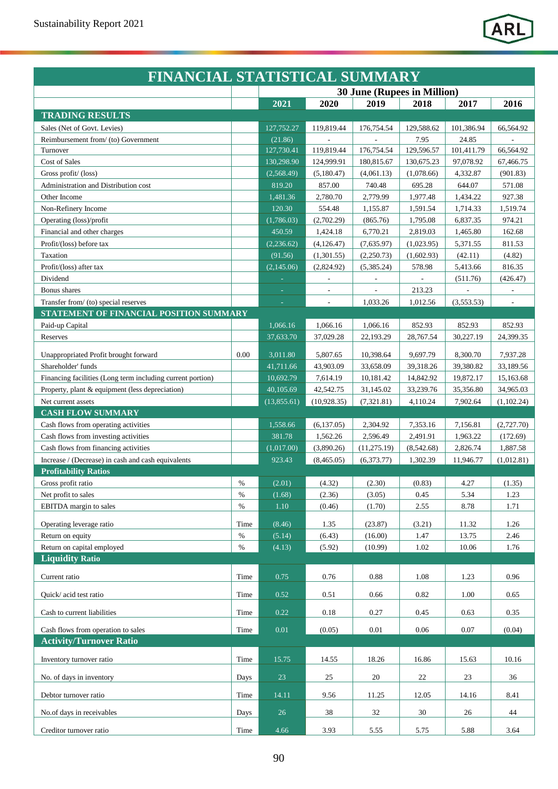|                                                            | FINANCIAL STATISTICAL SUMMARY |             |                             |              |            |            |            |  |  |  |
|------------------------------------------------------------|-------------------------------|-------------|-----------------------------|--------------|------------|------------|------------|--|--|--|
|                                                            |                               |             | 30 June (Rupees in Million) |              |            |            |            |  |  |  |
|                                                            |                               | 2021        | 2020                        | 2019         | 2018       | 2017       | 2016       |  |  |  |
| <b>TRADING RESULTS</b>                                     |                               |             |                             |              |            |            |            |  |  |  |
| Sales (Net of Govt. Levies)                                |                               | 127,752.27  | 119,819.44                  | 176,754.54   | 129,588.62 | 101,386.94 | 66,564.92  |  |  |  |
| Reimbursement from/ (to) Government                        |                               | (21.86)     |                             |              | 7.95       | 24.85      |            |  |  |  |
| Turnover                                                   |                               | 127,730.41  | 119,819.44                  | 176,754.54   | 129,596.57 | 101,411.79 | 66,564.92  |  |  |  |
| Cost of Sales                                              |                               | 130,298.90  | 124,999.91                  | 180,815.67   | 130,675.23 | 97,078.92  | 67,466.75  |  |  |  |
| Gross profit/ (loss)                                       |                               | (2,568.49)  | (5,180.47)                  | (4,061.13)   | (1,078.66) | 4,332.87   | (901.83)   |  |  |  |
| Administration and Distribution cost                       |                               | 819.20      | 857.00                      | 740.48       | 695.28     | 644.07     | 571.08     |  |  |  |
| Other Income                                               |                               | 1,481.36    | 2,780.70                    | 2,779.99     | 1,977.48   | 1,434.22   | 927.38     |  |  |  |
| Non-Refinery Income                                        |                               | 120.30      | 554.48                      | 1,155.87     | 1,591.54   | 1,714.33   | 1,519.74   |  |  |  |
| Operating (loss)/profit                                    |                               | (1,786.03)  | (2,702.29)                  | (865.76)     | 1,795.08   | 6,837.35   | 974.21     |  |  |  |
| Financial and other charges                                |                               | 450.59      | 1,424.18                    | 6,770.21     | 2,819.03   | 1,465.80   | 162.68     |  |  |  |
| Profit/(loss) before tax                                   |                               | (2, 236.62) | (4, 126.47)                 | (7,635.97)   | (1,023.95) | 5,371.55   | 811.53     |  |  |  |
| Taxation                                                   |                               | (91.56)     | (1,301.55)                  | (2,250.73)   | (1,602.93) | (42.11)    | (4.82)     |  |  |  |
| Profit/(loss) after tax                                    |                               | (2,145.06)  | (2,824.92)                  | (5,385.24)   | 578.98     | 5,413.66   | 816.35     |  |  |  |
| Dividend                                                   |                               |             |                             |              |            | (511.76)   | (426.47)   |  |  |  |
| Bonus shares                                               |                               |             |                             |              | 213.23     |            |            |  |  |  |
| Transfer from/ (to) special reserves                       |                               | $\equiv$    |                             | 1,033.26     | 1,012.56   | (3,553.53) |            |  |  |  |
| STATEMENT OF FINANCIAL POSITION SUMMARY                    |                               |             |                             |              |            |            |            |  |  |  |
| Paid-up Capital                                            |                               | 1,066.16    | 1,066.16                    | 1,066.16     | 852.93     | 852.93     | 852.93     |  |  |  |
| Reserves                                                   |                               | 37,633.70   | 37,029.28                   | 22,193.29    | 28,767.54  | 30,227.19  | 24,399.35  |  |  |  |
| Unappropriated Profit brought forward                      | 0.00                          | 3,011.80    | 5,807.65                    | 10,398.64    | 9,697.79   | 8,300.70   | 7,937.28   |  |  |  |
| Shareholder' funds                                         |                               | 41,711.66   | 43,903.09                   | 33,658.09    | 39,318.26  | 39,380.82  | 33,189.56  |  |  |  |
| Financing facilities (Long term including current portion) |                               | 10,692.79   | 7,614.19                    | 10,181.42    | 14,842.92  | 19,872.17  | 15,163.68  |  |  |  |
| Property, plant & equipment (less depreciation)            |                               | 40,105.69   | 42,542.75                   | 31,145.02    | 33,239.76  | 35,356.80  | 34,965.03  |  |  |  |
| Net current assets                                         |                               | (13,855.61) | (10,928.35)                 | (7,321.81)   | 4,110.24   | 7,902.64   | (1,102.24) |  |  |  |
| <b>CASH FLOW SUMMARY</b>                                   |                               |             |                             |              |            |            |            |  |  |  |
| Cash flows from operating activities                       |                               | 1,558.66    | (6, 137.05)                 | 2,304.92     | 7,353.16   | 7,156.81   | (2,727.70) |  |  |  |
| Cash flows from investing activities                       |                               | 381.78      | 1,562.26                    | 2,596.49     | 2,491.91   | 1,963.22   | (172.69)   |  |  |  |
| Cash flows from financing activities                       |                               | (1,017.00)  | (3,890.26)                  | (11, 275.19) | (8,542.68) | 2,826.74   | 1,887.58   |  |  |  |
| Increase / (Decrease) in cash and cash equivalents         |                               | 923.43      | (8,465.05)                  | (6,373.77)   | 1,302.39   | 11,946.77  | (1,012.81) |  |  |  |
| <b>Profitability Ratios</b>                                |                               |             |                             |              |            |            |            |  |  |  |
| Gross profit ratio                                         | %                             | (2.01)      | (4.32)                      | (2.30)       | (0.83)     | 4.27       | (1.35)     |  |  |  |
| Net profit to sales                                        | $\%$                          | (1.68)      | (2.36)                      | (3.05)       | 0.45       | 5.34       | 1.23       |  |  |  |
| EBITDA margin to sales                                     | $\%$                          | $1.10\,$    | (0.46)                      | (1.70)       | 2.55       | 8.78       | 1.71       |  |  |  |
| Operating leverage ratio                                   | Time                          | (8.46)      | 1.35                        | (23.87)      | (3.21)     | 11.32      | 1.26       |  |  |  |
| Return on equity                                           | $\%$                          | (5.14)      | (6.43)                      | (16.00)      | 1.47       | 13.75      | 2.46       |  |  |  |
| Return on capital employed                                 | $\%$                          | (4.13)      | (5.92)                      | (10.99)      | 1.02       | 10.06      | 1.76       |  |  |  |
| <b>Liquidity Ratio</b>                                     |                               |             |                             |              |            |            |            |  |  |  |
|                                                            |                               |             |                             |              |            |            |            |  |  |  |
| Current ratio                                              | Time                          | 0.75        | 0.76                        | 0.88         | 1.08       | 1.23       | 0.96       |  |  |  |
| Quick/acid test ratio                                      | Time                          | 0.52        | 0.51                        | 0.66         | 0.82       | 1.00       | 0.65       |  |  |  |
|                                                            |                               |             |                             |              |            |            |            |  |  |  |
| Cash to current liabilities                                | Time                          | 0.22        | 0.18                        | 0.27         | 0.45       | 0.63       | 0.35       |  |  |  |
| Cash flows from operation to sales                         | Time                          | 0.01        | (0.05)                      | 0.01         | 0.06       | 0.07       | (0.04)     |  |  |  |
| <b>Activity/Turnover Ratio</b>                             |                               |             |                             |              |            |            |            |  |  |  |
|                                                            |                               |             |                             |              |            |            |            |  |  |  |
| Inventory turnover ratio                                   | Time                          | 15.75       | 14.55                       | 18.26        | 16.86      | 15.63      | 10.16      |  |  |  |
| No. of days in inventory                                   | Days                          | 23          | 25                          | 20           | 22         | 23         | 36         |  |  |  |
|                                                            |                               |             |                             |              |            |            |            |  |  |  |
| Debtor turnover ratio                                      | Time                          | 14.11       | 9.56                        | 11.25        | 12.05      | 14.16      | 8.41       |  |  |  |
| No.of days in receivables                                  | Days                          | 26          | 38                          | 32           | 30         | 26         | 44         |  |  |  |
|                                                            |                               |             |                             |              |            |            |            |  |  |  |
| Creditor turnover ratio                                    | Time                          | 4.66        | 3.93                        | 5.55         | 5.75       | 5.88       | 3.64       |  |  |  |